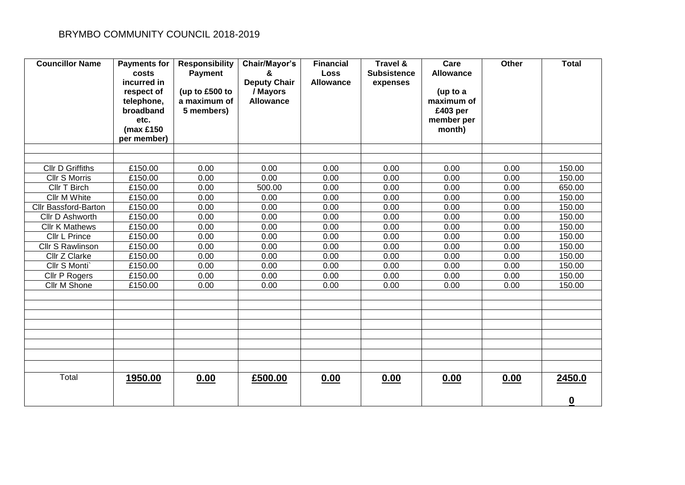| <b>Councillor Name</b>      | <b>Payments for</b><br>costs<br>incurred in<br>respect of<br>telephone,<br>broadband<br>etc.<br>( $max £150$<br>per member) | <b>Responsibility</b><br><b>Payment</b><br>(up to £500 to<br>a maximum of<br>5 members) | Chair/Mayor's<br>&<br><b>Deputy Chair</b><br>/ Mayors<br><b>Allowance</b> | <b>Financial</b><br><b>Loss</b><br><b>Allowance</b> | <b>Travel &amp;</b><br><b>Subsistence</b><br>expenses | Care<br><b>Allowance</b><br>(up to a<br>maximum of<br>£403 per<br>member per<br>month) | Other | <b>Total</b> |
|-----------------------------|-----------------------------------------------------------------------------------------------------------------------------|-----------------------------------------------------------------------------------------|---------------------------------------------------------------------------|-----------------------------------------------------|-------------------------------------------------------|----------------------------------------------------------------------------------------|-------|--------------|
|                             |                                                                                                                             |                                                                                         |                                                                           |                                                     |                                                       |                                                                                        |       |              |
| <b>CIIr D Griffiths</b>     | £150.00                                                                                                                     | 0.00                                                                                    | 0.00                                                                      | 0.00                                                | 0.00                                                  | 0.00                                                                                   | 0.00  | 150.00       |
| Cllr S Morris               | £150.00                                                                                                                     | 0.00                                                                                    | 0.00                                                                      | 0.00                                                | 0.00                                                  | 0.00                                                                                   | 0.00  | 150.00       |
| Cllr T Birch                | £150.00                                                                                                                     | 0.00                                                                                    | 500.00                                                                    | 0.00                                                | 0.00                                                  | 0.00                                                                                   | 0.00  | 650.00       |
| <b>Cllr M White</b>         | £150.00                                                                                                                     | 0.00                                                                                    | $0.\overline{00}$                                                         | 0.00                                                | 0.00                                                  | 0.00                                                                                   | 0.00  | 150.00       |
| <b>Cllr Bassford-Barton</b> | £150.00                                                                                                                     | 0.00                                                                                    | 0.00                                                                      | 0.00                                                | 0.00                                                  | 0.00                                                                                   | 0.00  | 150.00       |
| Cllr D Ashworth             | £150.00                                                                                                                     | 0.00                                                                                    | 0.00                                                                      | 0.00                                                | 0.00                                                  | 0.00                                                                                   | 0.00  | 150.00       |
| <b>Cllr K Mathews</b>       | £150.00                                                                                                                     | 0.00                                                                                    | 0.00                                                                      | 0.00                                                | 0.00                                                  | 0.00                                                                                   | 0.00  | 150.00       |
| Cllr L Prince               | £150.00                                                                                                                     | 0.00                                                                                    | 0.00                                                                      | 0.00                                                | 0.00                                                  | 0.00                                                                                   | 0.00  | 150.00       |
| Cllr S Rawlinson            | £150.00                                                                                                                     | 0.00                                                                                    | 0.00                                                                      | 0.00                                                | 0.00                                                  | 0.00                                                                                   | 0.00  | 150.00       |
| Cllr Z Clarke               | £150.00                                                                                                                     | 0.00                                                                                    | 0.00                                                                      | 0.00                                                | 0.00                                                  | 0.00                                                                                   | 0.00  | 150.00       |
| Cllr S Monti`               | £150.00                                                                                                                     | 0.00                                                                                    | 0.00                                                                      | 0.00                                                | 0.00                                                  | 0.00                                                                                   | 0.00  | 150.00       |
| Cllr P Rogers               | £150.00                                                                                                                     | 0.00                                                                                    | 0.00                                                                      | 0.00                                                | 0.00                                                  | 0.00                                                                                   | 0.00  | 150.00       |
| Cllr M Shone                | £150.00                                                                                                                     | 0.00                                                                                    | 0.00                                                                      | 0.00                                                | 0.00                                                  | 0.00                                                                                   | 0.00  | 150.00       |
|                             |                                                                                                                             |                                                                                         |                                                                           |                                                     |                                                       |                                                                                        |       |              |
|                             |                                                                                                                             |                                                                                         |                                                                           |                                                     |                                                       |                                                                                        |       |              |
|                             |                                                                                                                             |                                                                                         |                                                                           |                                                     |                                                       |                                                                                        |       |              |
|                             |                                                                                                                             |                                                                                         |                                                                           |                                                     |                                                       |                                                                                        |       |              |
|                             |                                                                                                                             |                                                                                         |                                                                           |                                                     |                                                       |                                                                                        |       |              |
|                             |                                                                                                                             |                                                                                         |                                                                           |                                                     |                                                       |                                                                                        |       |              |
|                             |                                                                                                                             |                                                                                         |                                                                           |                                                     |                                                       |                                                                                        |       |              |
| Total                       | 1950.00                                                                                                                     | 0.00                                                                                    | £500.00                                                                   | 0.00                                                | 0.00                                                  | 0.00                                                                                   | 0.00  | 2450.0       |
|                             |                                                                                                                             |                                                                                         |                                                                           |                                                     |                                                       |                                                                                        |       | $\mathbf 0$  |